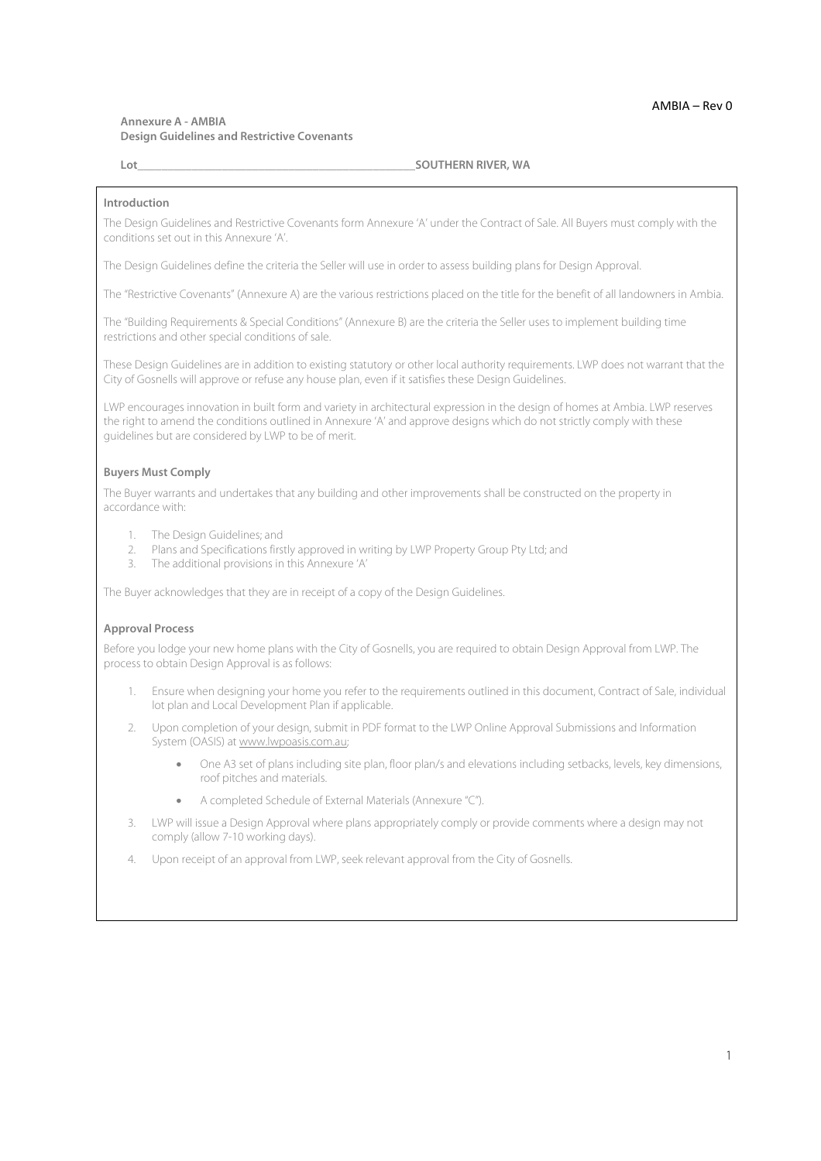## **Annexure A - AMBIA Design Guidelines and Restrictive Covenants**

#### **Lot Lot Lot Lot Lot COUTHERN RIVER, WA COUTHERN RIVER**, **WA**

#### **Introduction**

The Design Guidelines and Restrictive Covenants form Annexure 'A' under the Contract of Sale. All Buyers must comply with the conditions set out in this Annexure 'A'.

The Design Guidelines define the criteria the Seller will use in order to assess building plans for Design Approval.

The "Restrictive Covenants" (Annexure A) are the various restrictions placed on the title for the benefit of all landowners in Ambia.

The "Building Requirements & Special Conditions" (Annexure B) are the criteria the Seller uses to implement building time restrictions and other special conditions of sale.

These Design Guidelines are in addition to existing statutory or other local authority requirements. LWP does not warrant that the City of Gosnells will approve or refuse any house plan, even if it satisfies these Design Guidelines.

LWP encourages innovation in built form and variety in architectural expression in the design of homes at Ambia. LWP reserves the right to amend the conditions outlined in Annexure 'A' and approve designs which do not strictly comply with these guidelines but are considered by LWP to be of merit.

#### **Buyers Must Comply**

The Buyer warrants and undertakes that any building and other improvements shall be constructed on the property in accordance with:

- 1. The Design Guidelines; and
- 2. Plans and Specifications firstly approved in writing by LWP Property Group Pty Ltd; and<br>
The additional provisions in this Annexure 'A'
- The additional provisions in this Annexure 'A'

The Buyer acknowledges that they are in receipt of a copy of the Design Guidelines.

### **Approval Process**

Before you lodge your new home plans with the City of Gosnells, you are required to obtain Design Approval from LWP. The process to obtain Design Approval is as follows:

- 1. Ensure when designing your home you refer to the requirements outlined in this document, Contract of Sale, individual lot plan and Local Development Plan if applicable.
- 2. Upon completion of your design, submit in PDF format to the LWP Online Approval Submissions and Information System (OASIS) at www.lwpoasis.com.au;
	- One A3 set of plans including site plan, floor plan/s and elevations including setbacks, levels, key dimensions, roof pitches and materials.
	- A completed Schedule of External Materials (Annexure "C").
- 3. LWP will issue a Design Approval where plans appropriately comply or provide comments where a design may not comply (allow 7-10 working days).
- 4. Upon receipt of an approval from LWP, seek relevant approval from the City of Gosnells.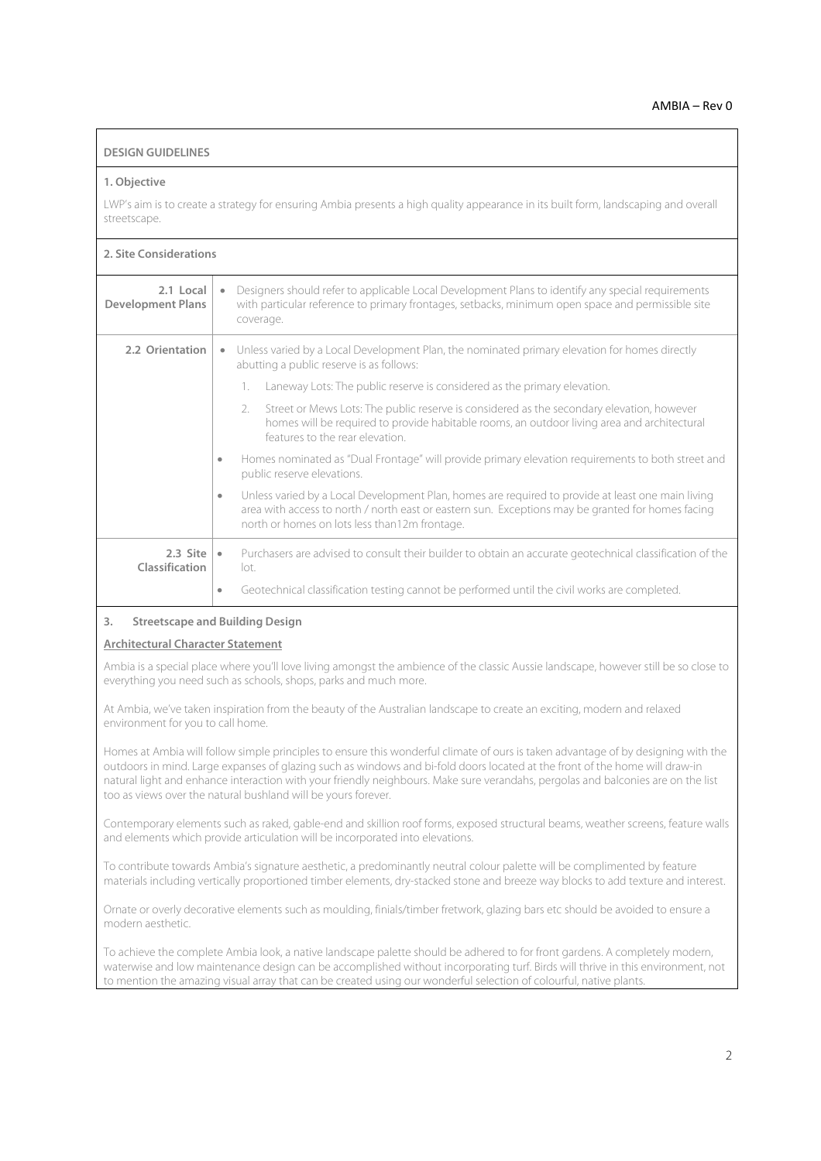## **DESIGN GUIDELINES**

#### **1. Objective**

LWP's aim is to create a strategy for ensuring Ambia presents a high quality appearance in its built form, landscaping and overall streetscape.

## **2. Site Considerations**

| 2.1 Local<br><b>Development Plans</b> | Designers should refer to applicable Local Development Plans to identify any special requirements<br>$\bullet$<br>with particular reference to primary frontages, setbacks, minimum open space and permissible site<br>coverage.                                     |
|---------------------------------------|----------------------------------------------------------------------------------------------------------------------------------------------------------------------------------------------------------------------------------------------------------------------|
| 2.2 Orientation                       | Unless varied by a Local Development Plan, the nominated primary elevation for homes directly<br>abutting a public reserve is as follows:                                                                                                                            |
|                                       | Laneway Lots: The public reserve is considered as the primary elevation.<br>1.                                                                                                                                                                                       |
|                                       | Street or Mews Lots: The public reserve is considered as the secondary elevation, however<br>2.<br>homes will be required to provide habitable rooms, an outdoor living area and architectural<br>features to the rear elevation.                                    |
|                                       | Homes nominated as "Dual Frontage" will provide primary elevation requirements to both street and<br>۰<br>public reserve elevations.                                                                                                                                 |
|                                       | Unless varied by a Local Development Plan, homes are required to provide at least one main living<br>$\bullet$<br>area with access to north / north east or eastern sun. Exceptions may be granted for homes facing<br>north or homes on lots less than12m frontage. |
| $2.3$ Site<br>Classification          | Purchasers are advised to consult their builder to obtain an accurate geotechnical classification of the<br>$\bullet$<br>lot.                                                                                                                                        |
|                                       | Geotechnical classification testing cannot be performed until the civil works are completed.<br>٠                                                                                                                                                                    |

### **3. Streetscape and Building Design**

## **Architectural Character Statement**

Ambia is a special place where you'll love living amongst the ambience of the classic Aussie landscape, however still be so close to everything you need such as schools, shops, parks and much more.

At Ambia, we've taken inspiration from the beauty of the Australian landscape to create an exciting, modern and relaxed environment for you to call home.

Homes at Ambia will follow simple principles to ensure this wonderful climate of ours is taken advantage of by designing with the outdoors in mind. Large expanses of glazing such as windows and bi-fold doors located at the front of the home will draw-in natural light and enhance interaction with your friendly neighbours. Make sure verandahs, pergolas and balconies are on the list too as views over the natural bushland will be yours forever.

Contemporary elements such as raked, gable-end and skillion roof forms, exposed structural beams, weather screens, feature walls and elements which provide articulation will be incorporated into elevations.

To contribute towards Ambia's signature aesthetic, a predominantly neutral colour palette will be complimented by feature materials including vertically proportioned timber elements, dry-stacked stone and breeze way blocks to add texture and interest.

Ornate or overly decorative elements such as moulding, finials/timber fretwork, glazing bars etc should be avoided to ensure a modern aesthetic.

To achieve the complete Ambia look, a native landscape palette should be adhered to for front gardens. A completely modern, waterwise and low maintenance design can be accomplished without incorporating turf. Birds will thrive in this environment, not to mention the amazing visual array that can be created using our wonderful selection of colourful, native plants.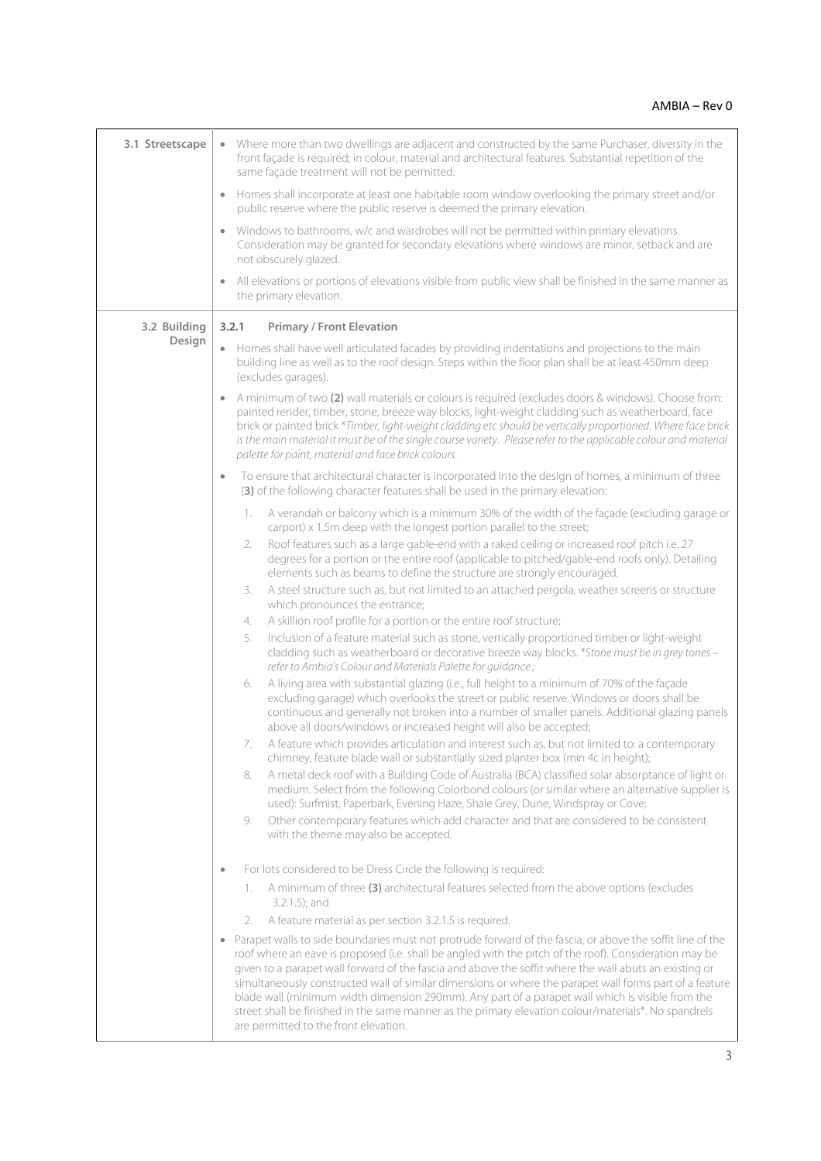| 3.1 Streetscape | • Where more than two dwellings are adjacent and constructed by the same Purchaser, diversity in the<br>front façade is required; in colour, material and architectural features. Substantial repetition of the<br>same façade treatment will not be permitted.                                                                                                                                                                                                                                                                                                                                                                                                                               |
|-----------------|-----------------------------------------------------------------------------------------------------------------------------------------------------------------------------------------------------------------------------------------------------------------------------------------------------------------------------------------------------------------------------------------------------------------------------------------------------------------------------------------------------------------------------------------------------------------------------------------------------------------------------------------------------------------------------------------------|
|                 | Homes shall incorporate at least one habitable room window overlooking the primary street and/or<br>public reserve where the public reserve is deemed the primary elevation.                                                                                                                                                                                                                                                                                                                                                                                                                                                                                                                  |
|                 | Windows to bathrooms, w/c and wardrobes will not be permitted within primary elevations.<br>Consideration may be granted for secondary elevations where windows are minor, setback and are<br>not obscurely glazed.                                                                                                                                                                                                                                                                                                                                                                                                                                                                           |
|                 | All elevations or portions of elevations visible from public view shall be finished in the same manner as<br>the primary elevation.                                                                                                                                                                                                                                                                                                                                                                                                                                                                                                                                                           |
| 3.2 Building    | 3.2.1<br><b>Primary / Front Elevation</b>                                                                                                                                                                                                                                                                                                                                                                                                                                                                                                                                                                                                                                                     |
| Design          | • Homes shall have well articulated facades by providing indentations and projections to the main<br>building line as well as to the roof design. Steps within the floor plan shall be at least 450mm deep<br>(excludes garages).                                                                                                                                                                                                                                                                                                                                                                                                                                                             |
|                 | A minimum of two (2) wall materials or colours is required (excludes doors & windows). Choose from:<br>painted render, timber, stone, breeze way blocks, light-weight cladding such as weatherboard, face<br>brick or painted brick *Timber, light-weight cladding etc should be vertically proportioned. Where face brick<br>is the main material it must be of the single course variety. Please refer to the applicable colour and material<br>palette for paint, material and face brick colours.                                                                                                                                                                                         |
|                 | To ensure that architectural character is incorporated into the design of homes, a minimum of three<br>(3) of the following character features shall be used in the primary elevation:                                                                                                                                                                                                                                                                                                                                                                                                                                                                                                        |
|                 | A verandah or balcony which is a minimum 30% of the width of the façade (excluding garage or<br>1.<br>carport) x 1.5m deep with the longest portion parallel to the street;                                                                                                                                                                                                                                                                                                                                                                                                                                                                                                                   |
|                 | Roof features such as a large gable-end with a raked ceiling or increased roof pitch i.e. 27<br>2.<br>degrees for a portion or the entire roof (applicable to pitched/gable-end roofs only). Detailing<br>elements such as beams to define the structure are strongly encouraged.                                                                                                                                                                                                                                                                                                                                                                                                             |
|                 | A steel structure such as, but not limited to an attached pergola, weather screens or structure<br>3.<br>which pronounces the entrance;                                                                                                                                                                                                                                                                                                                                                                                                                                                                                                                                                       |
|                 | A skillion roof profile for a portion or the entire roof structure;<br>4.                                                                                                                                                                                                                                                                                                                                                                                                                                                                                                                                                                                                                     |
|                 | Inclusion of a feature material such as stone, vertically proportioned timber or light-weight<br>5.<br>cladding such as weatherboard or decorative breeze way blocks. *Stone must be in grey tones -<br>refer to Ambia's Colour and Materials Palette for guidance;                                                                                                                                                                                                                                                                                                                                                                                                                           |
|                 | A living area with substantial glazing (i.e., full height to a minimum of 70% of the façade<br>6.<br>excluding garage) which overlooks the street or public reserve. Windows or doors shall be<br>continuous and generally not broken into a number of smaller panels. Additional glazing panels<br>above all doors/windows or increased height will also be accepted;                                                                                                                                                                                                                                                                                                                        |
|                 | 7. A feature which provides articulation and interest such as, but not limited to: a contemporary<br>chimney, feature blade wall or substantially sized planter box (min 4c in height);                                                                                                                                                                                                                                                                                                                                                                                                                                                                                                       |
|                 | A metal deck roof with a Building Code of Australia (BCA) classified solar absorptance of light or<br>8.<br>medium. Select from the following Colorbond colours (or similar where an alternative supplier is<br>used): Surfmist, Paperbark, Evening Haze, Shale Grey, Dune, Windspray or Cove;<br>Other contemporary features which add character and that are considered to be consistent<br>9.                                                                                                                                                                                                                                                                                              |
|                 | with the theme may also be accepted.                                                                                                                                                                                                                                                                                                                                                                                                                                                                                                                                                                                                                                                          |
|                 | For lots considered to be Dress Circle the following is required:<br>$\bullet$                                                                                                                                                                                                                                                                                                                                                                                                                                                                                                                                                                                                                |
|                 | A minimum of three (3) architectural features selected from the above options (excludes<br>1.                                                                                                                                                                                                                                                                                                                                                                                                                                                                                                                                                                                                 |
|                 | 3.2.1.5); and                                                                                                                                                                                                                                                                                                                                                                                                                                                                                                                                                                                                                                                                                 |
|                 | A feature material as per section 3.2.1.5 is required.<br>2.                                                                                                                                                                                                                                                                                                                                                                                                                                                                                                                                                                                                                                  |
|                 | Parapet walls to side boundaries must not protrude forward of the fascia, or above the soffit line of the<br>roof where an eave is proposed (i.e. shall be angled with the pitch of the roof). Consideration may be<br>given to a parapet wall forward of the fascia and above the soffit where the wall abuts an existing or<br>simultaneously constructed wall of similar dimensions or where the parapet wall forms part of a feature<br>blade wall (minimum width dimension 290mm). Any part of a parapet wall which is visible from the<br>street shall be finished in the same manner as the primary elevation colour/materials*. No spandrels<br>are permitted to the front elevation. |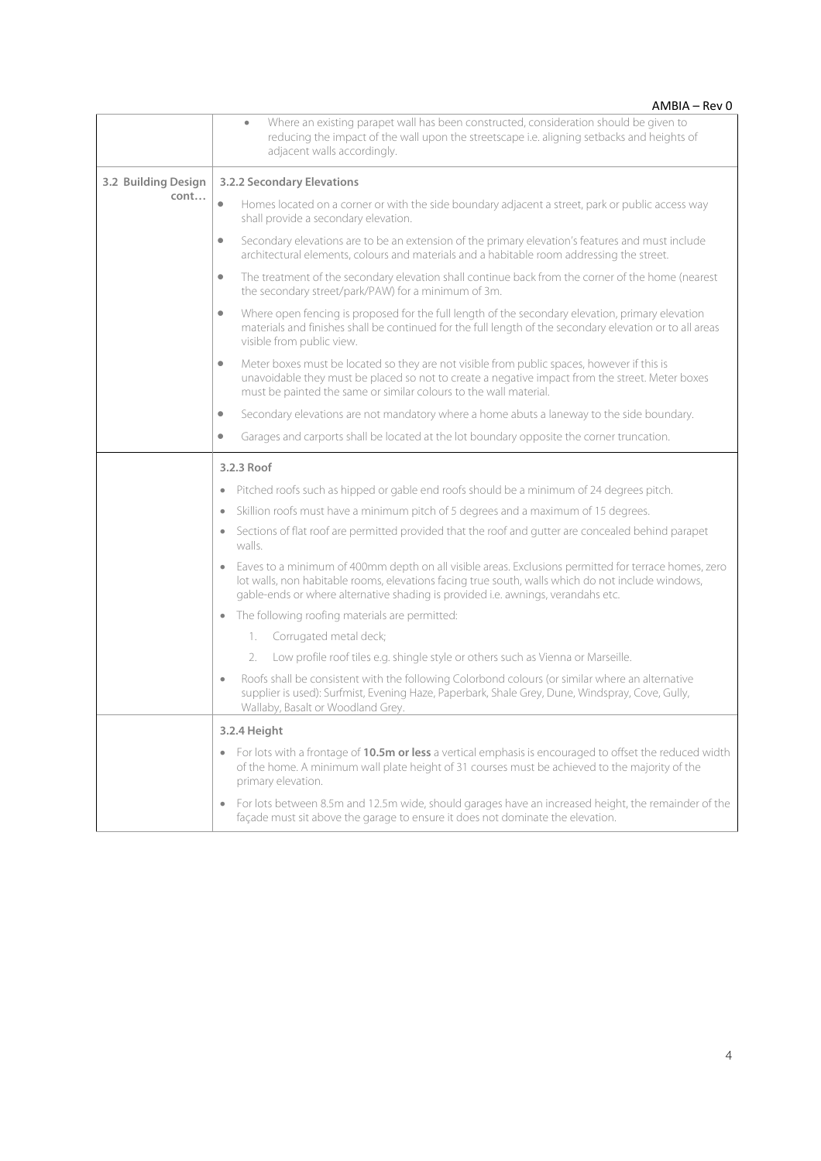|                     | AMBIA - Rev 0                                                                                                                                                                                                                                                                                 |
|---------------------|-----------------------------------------------------------------------------------------------------------------------------------------------------------------------------------------------------------------------------------------------------------------------------------------------|
|                     | Where an existing parapet wall has been constructed, consideration should be given to<br>$\bullet$<br>reducing the impact of the wall upon the streetscape i.e. aligning setbacks and heights of<br>adjacent walls accordingly.                                                               |
| 3.2 Building Design | 3.2.2 Secondary Elevations                                                                                                                                                                                                                                                                    |
| cont                | $\bullet$<br>Homes located on a corner or with the side boundary adjacent a street, park or public access way<br>shall provide a secondary elevation.                                                                                                                                         |
|                     | Secondary elevations are to be an extension of the primary elevation's features and must include<br>$\bullet$<br>architectural elements, colours and materials and a habitable room addressing the street.                                                                                    |
|                     | The treatment of the secondary elevation shall continue back from the corner of the home (nearest<br>$\bullet$<br>the secondary street/park/PAW) for a minimum of 3m.                                                                                                                         |
|                     | Where open fencing is proposed for the full length of the secondary elevation, primary elevation<br>$\bullet$<br>materials and finishes shall be continued for the full length of the secondary elevation or to all areas<br>visible from public view.                                        |
|                     | Meter boxes must be located so they are not visible from public spaces, however if this is<br>$\bullet$<br>unavoidable they must be placed so not to create a negative impact from the street. Meter boxes<br>must be painted the same or similar colours to the wall material.               |
|                     | Secondary elevations are not mandatory where a home abuts a laneway to the side boundary.<br>$\bullet$                                                                                                                                                                                        |
|                     | Garages and carports shall be located at the lot boundary opposite the corner truncation.<br>$\bullet$                                                                                                                                                                                        |
|                     | 3.2.3 Roof                                                                                                                                                                                                                                                                                    |
|                     | Pitched roofs such as hipped or gable end roofs should be a minimum of 24 degrees pitch.                                                                                                                                                                                                      |
|                     | Skillion roofs must have a minimum pitch of 5 degrees and a maximum of 15 degrees.<br>$\bullet$                                                                                                                                                                                               |
|                     | Sections of flat roof are permitted provided that the roof and gutter are concealed behind parapet<br>$\bullet$<br>walls.                                                                                                                                                                     |
|                     | Eaves to a minimum of 400mm depth on all visible areas. Exclusions permitted for terrace homes, zero<br>lot walls, non habitable rooms, elevations facing true south, walls which do not include windows,<br>gable-ends or where alternative shading is provided i.e. awnings, verandahs etc. |
|                     | The following roofing materials are permitted:<br>$\bullet$                                                                                                                                                                                                                                   |
|                     | Corrugated metal deck;<br>1.                                                                                                                                                                                                                                                                  |
|                     | Low profile roof tiles e.g. shingle style or others such as Vienna or Marseille.<br>2.                                                                                                                                                                                                        |
|                     | Roofs shall be consistent with the following Colorbond colours (or similar where an alternative<br>$\bullet$<br>supplier is used): Surfmist, Evening Haze, Paperbark, Shale Grey, Dune, Windspray, Cove, Gully,<br>Wallaby, Basalt or Woodland Grey.                                          |
|                     | 3.2.4 Height                                                                                                                                                                                                                                                                                  |
|                     | For lots with a frontage of 10.5m or less a vertical emphasis is encouraged to offset the reduced width<br>$\bullet$<br>of the home. A minimum wall plate height of 31 courses must be achieved to the majority of the<br>primary elevation.                                                  |
|                     | For lots between 8.5m and 12.5m wide, should garages have an increased height, the remainder of the<br>$\qquad \qquad \bullet$<br>façade must sit above the garage to ensure it does not dominate the elevation.                                                                              |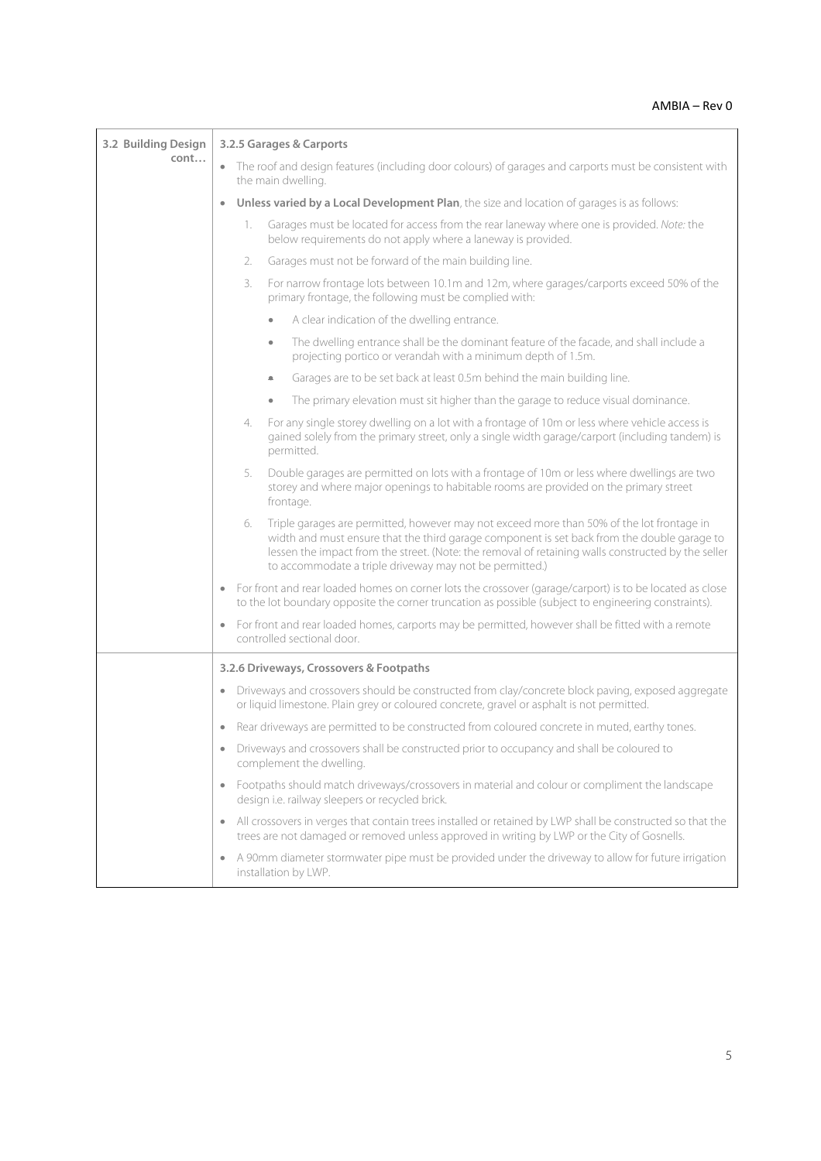# AMBIA – Rev 0

| 3.2 Building Design<br>cont | 3.2.5 Garages & Carports                                                                                                                                                                                                                                                                                                                                        |
|-----------------------------|-----------------------------------------------------------------------------------------------------------------------------------------------------------------------------------------------------------------------------------------------------------------------------------------------------------------------------------------------------------------|
|                             | • The roof and design features (including door colours) of garages and carports must be consistent with<br>the main dwelling.                                                                                                                                                                                                                                   |
|                             | Unless varied by a Local Development Plan, the size and location of garages is as follows:<br>$\bullet$                                                                                                                                                                                                                                                         |
|                             | Garages must be located for access from the rear laneway where one is provided. Note: the<br>1.<br>below requirements do not apply where a laneway is provided.                                                                                                                                                                                                 |
|                             | Garages must not be forward of the main building line.<br>2.                                                                                                                                                                                                                                                                                                    |
|                             | For narrow frontage lots between 10.1m and 12m, where garages/carports exceed 50% of the<br>3.<br>primary frontage, the following must be complied with:                                                                                                                                                                                                        |
|                             | A clear indication of the dwelling entrance.                                                                                                                                                                                                                                                                                                                    |
|                             | The dwelling entrance shall be the dominant feature of the facade, and shall include a<br>۰<br>projecting portico or verandah with a minimum depth of 1.5m.                                                                                                                                                                                                     |
|                             | Garages are to be set back at least 0.5m behind the main building line.<br>۰                                                                                                                                                                                                                                                                                    |
|                             | The primary elevation must sit higher than the garage to reduce visual dominance.<br>$\bullet$                                                                                                                                                                                                                                                                  |
|                             | For any single storey dwelling on a lot with a frontage of 10m or less where vehicle access is<br>4.<br>gained solely from the primary street, only a single width garage/carport (including tandem) is<br>permitted.                                                                                                                                           |
|                             | Double garages are permitted on lots with a frontage of 10m or less where dwellings are two<br>5.<br>storey and where major openings to habitable rooms are provided on the primary street<br>frontage.                                                                                                                                                         |
|                             | Triple garages are permitted, however may not exceed more than 50% of the lot frontage in<br>6.<br>width and must ensure that the third garage component is set back from the double garage to<br>lessen the impact from the street. (Note: the removal of retaining walls constructed by the seller<br>to accommodate a triple driveway may not be permitted.) |
|                             | For front and rear loaded homes on corner lots the crossover (garage/carport) is to be located as close<br>$\qquad \qquad \bullet$<br>to the lot boundary opposite the corner truncation as possible (subject to engineering constraints).                                                                                                                      |
|                             | For front and rear loaded homes, carports may be permitted, however shall be fitted with a remote<br>$\bullet$<br>controlled sectional door.                                                                                                                                                                                                                    |
|                             | 3.2.6 Driveways, Crossovers & Footpaths                                                                                                                                                                                                                                                                                                                         |
|                             | • Driveways and crossovers should be constructed from clay/concrete block paving, exposed aggregate<br>or liquid limestone. Plain grey or coloured concrete, gravel or asphalt is not permitted.                                                                                                                                                                |
|                             | Rear driveways are permitted to be constructed from coloured concrete in muted, earthy tones.                                                                                                                                                                                                                                                                   |
|                             | • Driveways and crossovers shall be constructed prior to occupancy and shall be coloured to<br>complement the dwelling.                                                                                                                                                                                                                                         |
|                             | Footpaths should match driveways/crossovers in material and colour or compliment the landscape<br>$\bullet$<br>design i.e. railway sleepers or recycled brick.                                                                                                                                                                                                  |
|                             | All crossovers in verges that contain trees installed or retained by LWP shall be constructed so that the<br>$\bullet$<br>trees are not damaged or removed unless approved in writing by LWP or the City of Gosnells.                                                                                                                                           |
|                             | A 90mm diameter stormwater pipe must be provided under the driveway to allow for future irrigation<br>installation by LWP.                                                                                                                                                                                                                                      |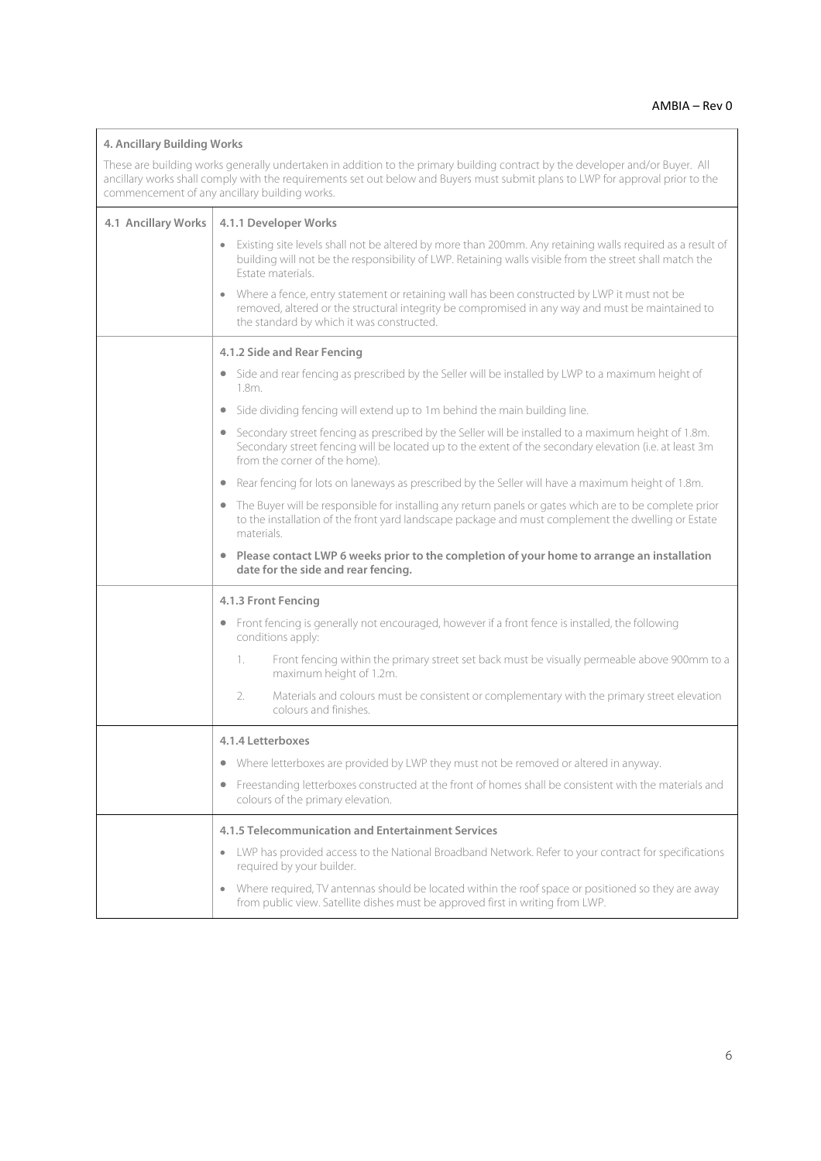| 4. Ancillary Building Works<br>These are building works generally undertaken in addition to the primary building contract by the developer and/or Buyer. All<br>ancillary works shall comply with the requirements set out below and Buyers must submit plans to LWP for approval prior to the<br>commencement of any ancillary building works. |                                                                                                                                                                                                                                                             |  |
|-------------------------------------------------------------------------------------------------------------------------------------------------------------------------------------------------------------------------------------------------------------------------------------------------------------------------------------------------|-------------------------------------------------------------------------------------------------------------------------------------------------------------------------------------------------------------------------------------------------------------|--|
| 4.1 Ancillary Works                                                                                                                                                                                                                                                                                                                             | 4.1.1 Developer Works                                                                                                                                                                                                                                       |  |
|                                                                                                                                                                                                                                                                                                                                                 | Existing site levels shall not be altered by more than 200mm. Any retaining walls required as a result of<br>building will not be the responsibility of LWP. Retaining walls visible from the street shall match the<br>Estate materials.                   |  |
|                                                                                                                                                                                                                                                                                                                                                 | Where a fence, entry statement or retaining wall has been constructed by LWP it must not be<br>removed, altered or the structural integrity be compromised in any way and must be maintained to<br>the standard by which it was constructed.                |  |
|                                                                                                                                                                                                                                                                                                                                                 | 4.1.2 Side and Rear Fencing                                                                                                                                                                                                                                 |  |
|                                                                                                                                                                                                                                                                                                                                                 | Side and rear fencing as prescribed by the Seller will be installed by LWP to a maximum height of<br>$\bullet$<br>1.8m.                                                                                                                                     |  |
|                                                                                                                                                                                                                                                                                                                                                 | Side dividing fencing will extend up to 1m behind the main building line.                                                                                                                                                                                   |  |
|                                                                                                                                                                                                                                                                                                                                                 | Secondary street fencing as prescribed by the Seller will be installed to a maximum height of 1.8m.<br>$\bullet$<br>Secondary street fencing will be located up to the extent of the secondary elevation (i.e. at least 3m<br>from the corner of the home). |  |
|                                                                                                                                                                                                                                                                                                                                                 | Rear fencing for lots on laneways as prescribed by the Seller will have a maximum height of 1.8m.                                                                                                                                                           |  |
|                                                                                                                                                                                                                                                                                                                                                 | The Buyer will be responsible for installing any return panels or gates which are to be complete prior<br>$\bullet$<br>to the installation of the front yard landscape package and must complement the dwelling or Estate<br>materials.                     |  |
|                                                                                                                                                                                                                                                                                                                                                 | Please contact LWP 6 weeks prior to the completion of your home to arrange an installation<br>date for the side and rear fencing.                                                                                                                           |  |
|                                                                                                                                                                                                                                                                                                                                                 | 4.1.3 Front Fencing                                                                                                                                                                                                                                         |  |
|                                                                                                                                                                                                                                                                                                                                                 | Front fencing is generally not encouraged, however if a front fence is installed, the following<br>$\bullet$<br>conditions apply:                                                                                                                           |  |
|                                                                                                                                                                                                                                                                                                                                                 | Front fencing within the primary street set back must be visually permeable above 900mm to a<br>1.<br>maximum height of 1.2m.                                                                                                                               |  |
|                                                                                                                                                                                                                                                                                                                                                 | Materials and colours must be consistent or complementary with the primary street elevation<br>2.<br>colours and finishes.                                                                                                                                  |  |
|                                                                                                                                                                                                                                                                                                                                                 | 4.1.4 Letterboxes                                                                                                                                                                                                                                           |  |
|                                                                                                                                                                                                                                                                                                                                                 | Where letterboxes are provided by LWP they must not be removed or altered in anyway.<br>$\bullet$                                                                                                                                                           |  |
|                                                                                                                                                                                                                                                                                                                                                 | Freestanding letterboxes constructed at the front of homes shall be consistent with the materials and<br>colours of the primary elevation.                                                                                                                  |  |
|                                                                                                                                                                                                                                                                                                                                                 | 4.1.5 Telecommunication and Entertainment Services                                                                                                                                                                                                          |  |
|                                                                                                                                                                                                                                                                                                                                                 | LWP has provided access to the National Broadband Network. Refer to your contract for specifications<br>$\bullet$<br>required by your builder.                                                                                                              |  |
|                                                                                                                                                                                                                                                                                                                                                 | Where required, TV antennas should be located within the roof space or positioned so they are away<br>from public view. Satellite dishes must be approved first in writing from LWP.                                                                        |  |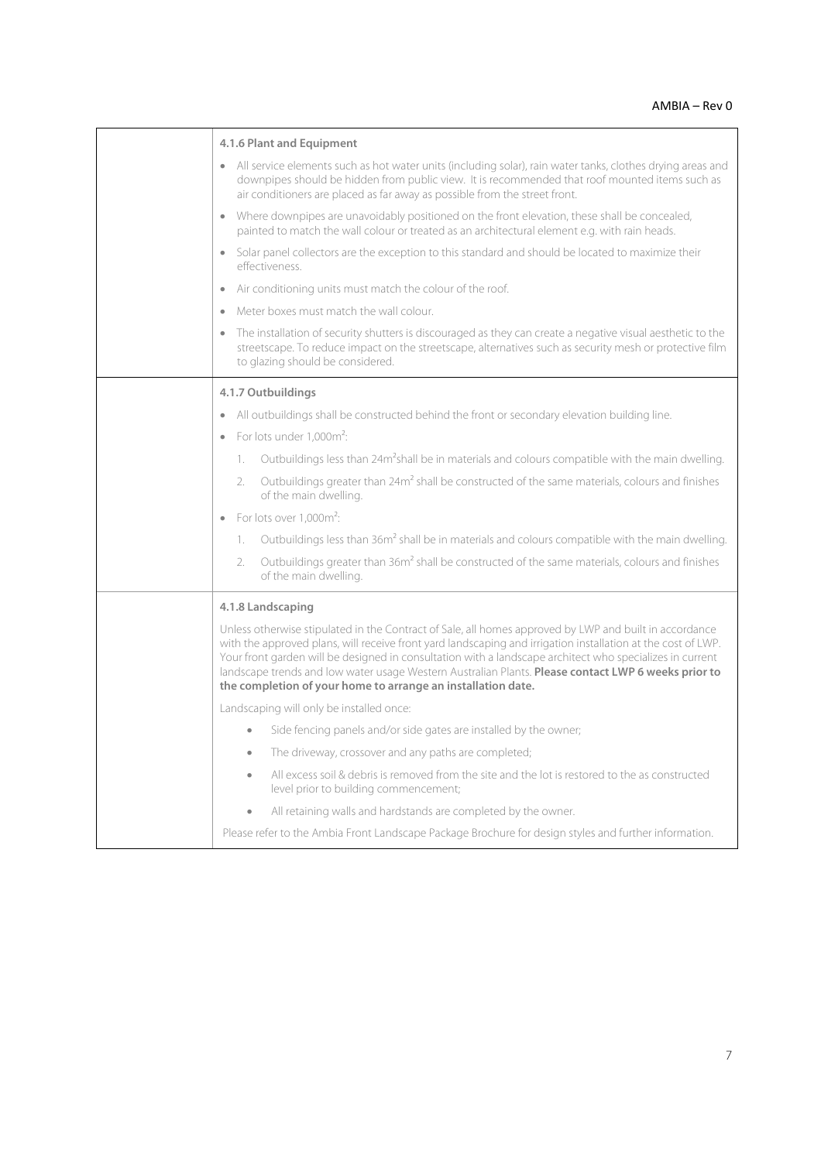$\overline{\phantom{0}}$ 

| 4.1.6 Plant and Equipment                                                                                                                                                                                                                                                                                                                                                                                                                                                                                 |
|-----------------------------------------------------------------------------------------------------------------------------------------------------------------------------------------------------------------------------------------------------------------------------------------------------------------------------------------------------------------------------------------------------------------------------------------------------------------------------------------------------------|
| All service elements such as hot water units (including solar), rain water tanks, clothes drying areas and<br>downpipes should be hidden from public view. It is recommended that roof mounted items such as<br>air conditioners are placed as far away as possible from the street front.                                                                                                                                                                                                                |
| Where downpipes are unavoidably positioned on the front elevation, these shall be concealed,<br>painted to match the wall colour or treated as an architectural element e.g. with rain heads.                                                                                                                                                                                                                                                                                                             |
| Solar panel collectors are the exception to this standard and should be located to maximize their<br>effectiveness.                                                                                                                                                                                                                                                                                                                                                                                       |
| Air conditioning units must match the colour of the roof.<br>$\bullet$                                                                                                                                                                                                                                                                                                                                                                                                                                    |
| Meter boxes must match the wall colour<br>$\bullet$                                                                                                                                                                                                                                                                                                                                                                                                                                                       |
| The installation of security shutters is discouraged as they can create a negative visual aesthetic to the<br>streetscape. To reduce impact on the streetscape, alternatives such as security mesh or protective film<br>to glazing should be considered.                                                                                                                                                                                                                                                 |
| 4.1.7 Outbuildings                                                                                                                                                                                                                                                                                                                                                                                                                                                                                        |
| All outbuildings shall be constructed behind the front or secondary elevation building line.<br>$\bullet$                                                                                                                                                                                                                                                                                                                                                                                                 |
| For lots under 1.000m <sup>2</sup> :<br>$\bullet$                                                                                                                                                                                                                                                                                                                                                                                                                                                         |
| Outbuildings less than 24m <sup>2</sup> shall be in materials and colours compatible with the main dwelling.<br>1.                                                                                                                                                                                                                                                                                                                                                                                        |
| Outbuildings greater than 24m <sup>2</sup> shall be constructed of the same materials, colours and finishes<br>2.<br>of the main dwelling.                                                                                                                                                                                                                                                                                                                                                                |
| For lots over 1,000m <sup>2</sup> :                                                                                                                                                                                                                                                                                                                                                                                                                                                                       |
| Outbuildings less than 36m <sup>2</sup> shall be in materials and colours compatible with the main dwelling.<br>1.                                                                                                                                                                                                                                                                                                                                                                                        |
| Outbuildings greater than 36m <sup>2</sup> shall be constructed of the same materials, colours and finishes<br>2.<br>of the main dwelling.                                                                                                                                                                                                                                                                                                                                                                |
| 4.1.8 Landscaping                                                                                                                                                                                                                                                                                                                                                                                                                                                                                         |
| Unless otherwise stipulated in the Contract of Sale, all homes approved by LWP and built in accordance<br>with the approved plans, will receive front yard landscaping and irrigation installation at the cost of LWP.<br>Your front garden will be designed in consultation with a landscape architect who specializes in current<br>landscape trends and low water usage Western Australian Plants. Please contact LWP 6 weeks prior to<br>the completion of your home to arrange an installation date. |
| Landscaping will only be installed once:                                                                                                                                                                                                                                                                                                                                                                                                                                                                  |
| Side fencing panels and/or side gates are installed by the owner;<br>$\bullet$                                                                                                                                                                                                                                                                                                                                                                                                                            |
| The driveway, crossover and any paths are completed;<br>$\bullet$                                                                                                                                                                                                                                                                                                                                                                                                                                         |
| All excess soil & debris is removed from the site and the lot is restored to the as constructed<br>$\bullet$<br>level prior to building commencement;                                                                                                                                                                                                                                                                                                                                                     |
| All retaining walls and hardstands are completed by the owner.                                                                                                                                                                                                                                                                                                                                                                                                                                            |
| Please refer to the Ambia Front Landscape Package Brochure for design styles and further information.                                                                                                                                                                                                                                                                                                                                                                                                     |